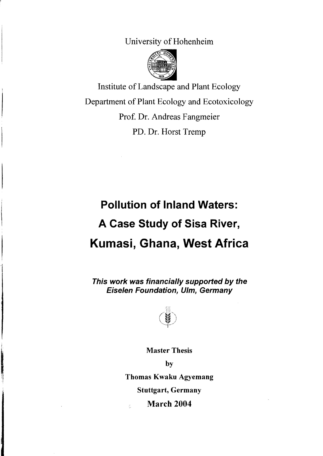University of Hohenheim



Institute ofLandscape and Plant Ecology Department of Plant Ecology and Ecotoxicology Prof. Dr. Andreas Fangmeier PD. Dr. Horst Tremp

## **Pollution of Inland Waters: A Case Study of Sisa River, Kumasi, Ghana, West Africa**

This work was financially supported by the Eiselen Foundation, Ulm, Germany



Master Thesis

by

Thomas Kwaku Agyemang

Stuttgart, Germany

March 2004

ċ.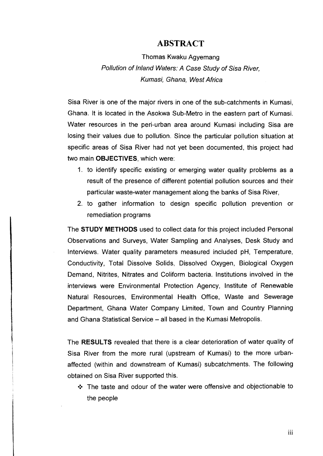## **ABSTRACT**

Thomas Kwaku Agyemang Pollution of Inland Wafers: A Gase Sfudy of Sisa River, Kumasi, Ghana, Wesf Africa

Sisa River is one of the major rivers in one of the sub-catchments in Kumasi, Ghana. It is located in the Asokwa Sub-Metro in the eastern part of Kumasi. Water resources in the peri-urban area around Kumasi including Sisa are losing their values due to pollution. Since the particular pollution situation at specific areas of Sisa River had not yet been documented, this project had two main **OBJECTIVES,** which were:

- 1. to identify specific existing or emerging water quality problems as a result of the presence of different potential pollution sources and their particular waste-water management along the banks of Sisa River,
- 2. to gather information to design specific pollution prevention or remediation programs

The **STUDY METHODS** used to collect data for this project included Personal Observations and Surveys, Water Sampling and Analyses, Desk Study and Interviews. Water quality parameters measured included pH, Temperature, Conductivity, Total Dissolve Solids, Dissolved Oxygen, Biological Oxygen Demand, Nitrites, Nitrates and Coliform bacteria. Institutions involved in the interviews were Environmental Protection Agency, Institute of Renewable Natural Resources, Environmental Health Office, Waste and Sewerage Department, Ghana Water Company Limited, Town and Country Planning and Ghana Statistical Service - all based in the Kumasi Metropolis.

The **RESLJLTS** revealed that there is a clear deterioration of water quality of Sisa River from the more rural (upstream of Kumasi) to the more urbanaffected (within and downstream of Kumasi) subcatchments. The following obtained on Sisa River supported this.

**•:.** The taste and odour of the water were offensive and objectionable to the people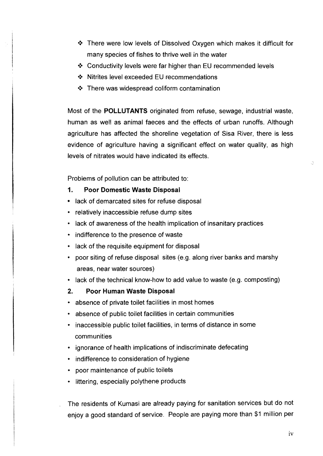- \* There were low levels of Dissolved Oxygen which makes it difficult for many species of fishes to thrive weil in the water
- $\div$  Conductivity levels were far higher than EU recommended levels
- ❖ Nitrites level exceeded EU recommendations
- $\div$  There was widespread coliform contamination

Most of the POLLUTANTS originated from refuse, sewage, industrial waste, human as weil as animal faeces and the effects of urban runoffs. Although agriculture has affected the shoreline vegetation of Sisa River, there is less evidence of agriculture having a significant effect on water quality, as high levels of nitrates would have indicated its effects.

Problems of pollution can be attributed to:

- 1. Poor Domestic Waste Disposal
- lack of demarcated sites for refuse disposal
- relatively inaccessible refuse dump sites
- lack of awareness of the health implication of insanitary practices
- indifference to the presence of waste
- lack of the requisite equipment for disposal
- poor siting of refuse disposal sites (e.g. along river banks and marshy areas, near water sources)
- lack of the technical know-how to add value to waste (e.g. composting)
- 2. Poor Human Waste Disposal
- absence of private toilet facilities in most homes
- absence of public toilet facilities in certain communities
- inaccessible public toilet facilities, in terms of distance in some communities
- ignorance of health implications of indiscriminate defecating
- indifference to consideration of hygiene
- poor maintenance of public toilets
- littering, especially polythene products

The residents of Kumasi are already paying for sanitation services but do not enjoy a good standard of service. People are paying more than \$1 million per

 $\hat{C}$